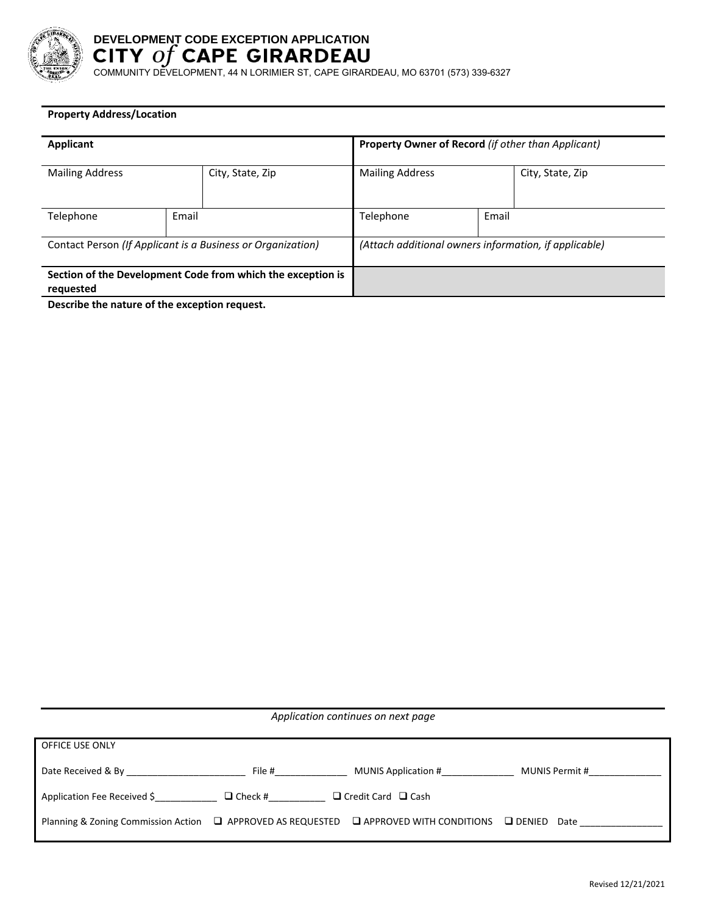

# **DEVELOPMENT CODE EXCEPTION APPLICATION**

COMMUNITY DEVELOPMENT, 44 N LORIMIER ST, CAPE GIRARDEAU, MO 63701 (573) 339-6327

### **Property Address/Location**

| Applicant                                                                |       |                  | <b>Property Owner of Record (if other than Applicant)</b> |       |                  |
|--------------------------------------------------------------------------|-------|------------------|-----------------------------------------------------------|-------|------------------|
| <b>Mailing Address</b>                                                   |       | City, State, Zip | <b>Mailing Address</b>                                    |       | City, State, Zip |
| Telephone                                                                | Email |                  | Telephone                                                 | Email |                  |
| Contact Person (If Applicant is a Business or Organization)              |       |                  | (Attach additional owners information, if applicable)     |       |                  |
| Section of the Development Code from which the exception is<br>requested |       |                  |                                                           |       |                  |

**Describe the nature of the exception request.**

| Application continues on next page                                                               |                |                                |                       |  |  |  |
|--------------------------------------------------------------------------------------------------|----------------|--------------------------------|-----------------------|--|--|--|
| OFFICE USE ONLY                                                                                  |                |                                |                       |  |  |  |
| Date Received & By                                                                               | File #         | MUNIS Application #            | MUNIS Permit #        |  |  |  |
| Application Fee Received \$                                                                      | $\Box$ Check # | $\Box$ Credit Card $\Box$ Cash |                       |  |  |  |
| Planning & Zoning Commission Action $\Box$ APPROVED AS REQUESTED $\Box$ APPROVED WITH CONDITIONS |                |                                | $\Box$ DENIED<br>Date |  |  |  |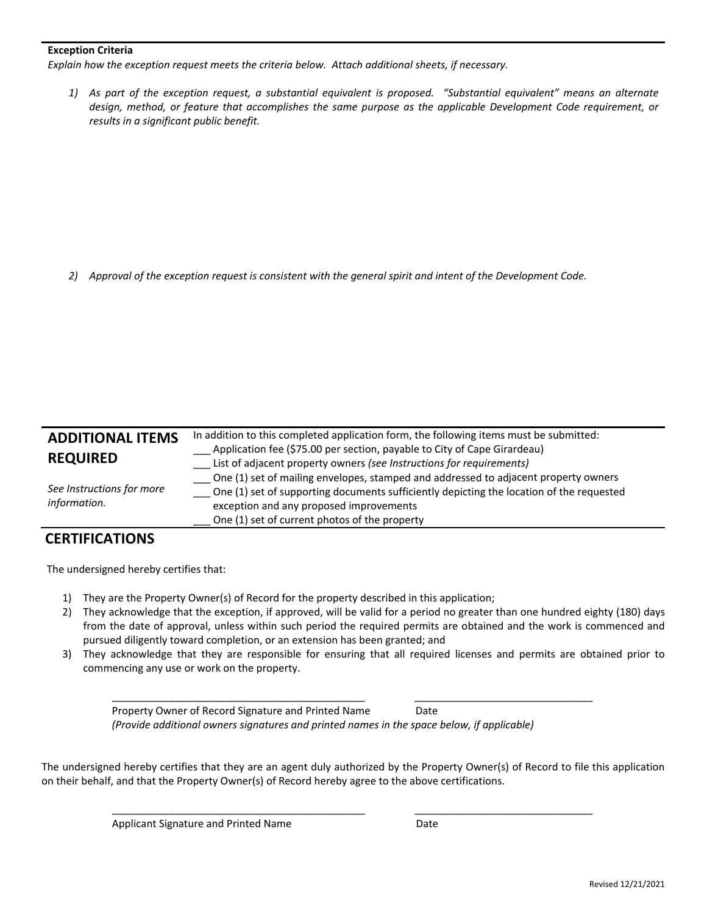#### **Exception Criteria**

*Explain how the exception request meets the criteria below. Attach additional sheets, if necessary.*

1) As part of the exception request, a substantial equivalent is proposed. "Substantial equivalent" means an alternate *design, method, or feature that accomplishes the same purpose as the applicable Development Code requirement, or results in a significant public benefit.* 

2) Approval of the exception request is consistent with the general spirit and intent of the Development Code.

| <b>ADDITIONAL ITEMS</b><br><b>REQUIRED</b> | In addition to this completed application form, the following items must be submitted:<br>Application fee (\$75.00 per section, payable to City of Cape Girardeau)<br>List of adjacent property owners (see Instructions for requirements)                                  |
|--------------------------------------------|-----------------------------------------------------------------------------------------------------------------------------------------------------------------------------------------------------------------------------------------------------------------------------|
| See Instructions for more<br>information.  | One (1) set of mailing envelopes, stamped and addressed to adjacent property owners<br>One (1) set of supporting documents sufficiently depicting the location of the requested<br>exception and any proposed improvements<br>One (1) set of current photos of the property |

## **CERTIFICATIONS**

The undersigned hereby certifies that:

- 1) They are the Property Owner(s) of Record for the property described in this application;
- 2) They acknowledge that the exception, if approved, will be valid for a period no greater than one hundred eighty (180) days from the date of approval, unless within such period the required permits are obtained and the work is commenced and pursued diligently toward completion, or an extension has been granted; and
- 3) They acknowledge that they are responsible for ensuring that all required licenses and permits are obtained prior to commencing any use or work on the property.

Property Owner of Record Signature and Printed Name Date  *(Provide additional owners signatures and printed names in the space below, if applicable)*

 $\overline{\phantom{a}}$  , and the contribution of the contribution of the contribution of the contribution of the contribution of the contribution of the contribution of the contribution of the contribution of the contribution of the

 $\overline{\phantom{a}}$  ,  $\overline{\phantom{a}}$  ,  $\overline{\phantom{a}}$  ,  $\overline{\phantom{a}}$  ,  $\overline{\phantom{a}}$  ,  $\overline{\phantom{a}}$  ,  $\overline{\phantom{a}}$  ,  $\overline{\phantom{a}}$  ,  $\overline{\phantom{a}}$  ,  $\overline{\phantom{a}}$  ,  $\overline{\phantom{a}}$  ,  $\overline{\phantom{a}}$  ,  $\overline{\phantom{a}}$  ,  $\overline{\phantom{a}}$  ,  $\overline{\phantom{a}}$  ,  $\overline{\phantom{a}}$ 

The undersigned hereby certifies that they are an agent duly authorized by the Property Owner(s) of Record to file this application on their behalf, and that the Property Owner(s) of Record hereby agree to the above certifications.